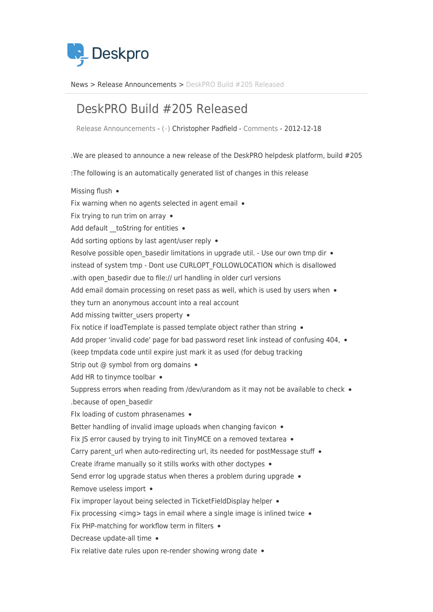

News> Release Announcements > DeskPRO Build #205 Released

## DeskPRO Build #205 Released

Release Announcements - ( · ) Christopher Padfield - [Comments](#page--1-0) - 2012-12-18

.We are pleased to announce a new release of the DeskPRO helpdesk platform, build #205

: The following is an automatically generated list of changes in this release

Missing flush •

Fix warning when no agents selected in agent email  $\bullet$ Fix trying to run trim on array  $\bullet$ Add default toString for entities  $\bullet$ Add sorting options by last agent/user reply  $\bullet$ Resolve possible open basedir limitations in upgrade util. - Use our own tmp dir • instead of system tmp - Dont use CURLOPT FOLLOWLOCATION which is disallowed with open basedir due to file:// url handling in older curl versions. Add email domain processing on reset pass as well, which is used by users when  $\bullet$ they turn an anonymous account into a real account Add missing twitter users property • Fix notice if loadTemplate is passed template object rather than string . Add proper 'invalid code' page for bad password reset link instead of confusing  $404$ ,  $\bullet$ (keep tmpdata code until expire just mark it as used (for debug tracking) Strip out  $@$  symbol from org domains  $\bullet$ Add HR to tinymce toolbar . Suppress errors when reading from /dev/ urandom as it may not be available to check  $\bullet$ because of open basedir. FIx loading of custom phrasenames • Better handling of invalid image uploads when changing favicon  $\bullet$ Fix JS error caused by trying to init TinyMCE on a removed textarea  $\bullet$ Carry parent url when auto-redirecting url, its needed for postMessage stuff  $\bullet$ Create iframe manually so it stills works with other doctypes  $\bullet$ Send error log upgrade status when theres a problem during upgrade  $\bullet$ Remove useless import • Fix improper layout being selected in TicketFieldDisplay helper • Fix processing  $\langle$ img $>$  tags in email where a single image is inlined twice  $\bullet$ Fix PHP-matching for workflow term in filters  $\bullet$ Decrease update-all time • Fix relative date rules upon re-render showing wrong date  $\bullet$